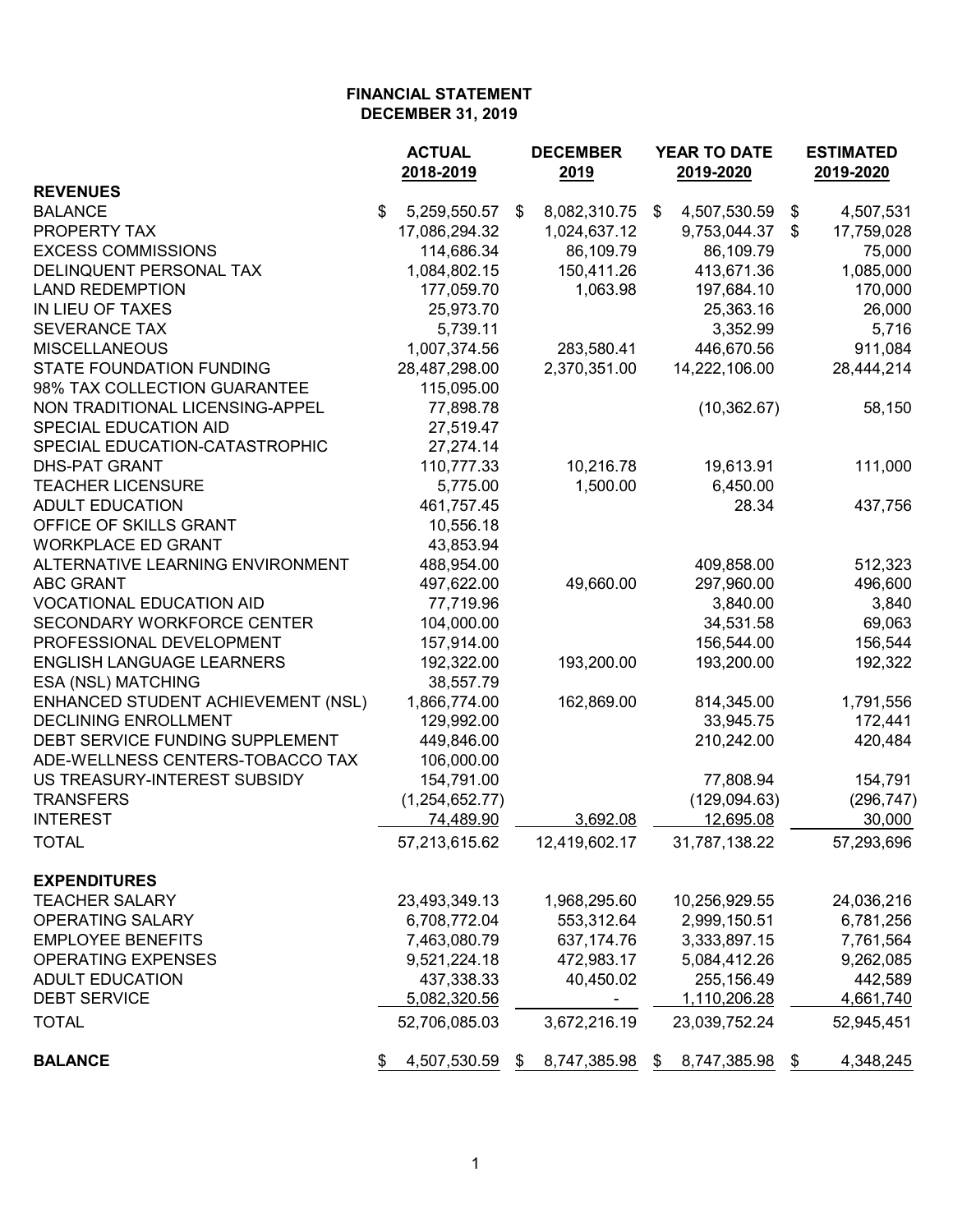|                                    | <b>ACTUAL</b>         | <b>DECEMBER</b> |               |    | <b>YEAR TO DATE</b> | <b>ESTIMATED</b> |            |
|------------------------------------|-----------------------|-----------------|---------------|----|---------------------|------------------|------------|
|                                    | 2018-2019             |                 | 2019          |    | 2019-2020           |                  | 2019-2020  |
| <b>REVENUES</b>                    |                       |                 |               |    |                     |                  |            |
| <b>BALANCE</b>                     | \$<br>5,259,550.57    | \$              | 8,082,310.75  | \$ | 4,507,530.59        | \$               | 4,507,531  |
| PROPERTY TAX                       | 17,086,294.32         |                 | 1,024,637.12  |    | 9,753,044.37        | S.               | 17,759,028 |
| <b>EXCESS COMMISSIONS</b>          | 114,686.34            |                 | 86,109.79     |    | 86,109.79           |                  | 75,000     |
| DELINQUENT PERSONAL TAX            | 1,084,802.15          |                 | 150,411.26    |    | 413,671.36          |                  | 1,085,000  |
| <b>LAND REDEMPTION</b>             | 177,059.70            |                 | 1,063.98      |    | 197,684.10          |                  | 170,000    |
| IN LIEU OF TAXES                   | 25,973.70             |                 |               |    | 25,363.16           |                  | 26,000     |
| <b>SEVERANCE TAX</b>               | 5,739.11              |                 |               |    | 3,352.99            |                  | 5,716      |
| <b>MISCELLANEOUS</b>               | 1,007,374.56          |                 | 283,580.41    |    | 446,670.56          |                  | 911,084    |
| <b>STATE FOUNDATION FUNDING</b>    | 28,487,298.00         |                 | 2,370,351.00  |    | 14,222,106.00       |                  | 28,444,214 |
| 98% TAX COLLECTION GUARANTEE       | 115,095.00            |                 |               |    |                     |                  |            |
| NON TRADITIONAL LICENSING-APPEL    | 77,898.78             |                 |               |    | (10, 362.67)        |                  | 58,150     |
| SPECIAL EDUCATION AID              | 27,519.47             |                 |               |    |                     |                  |            |
| SPECIAL EDUCATION-CATASTROPHIC     | 27,274.14             |                 |               |    |                     |                  |            |
| <b>DHS-PAT GRANT</b>               | 110,777.33            |                 | 10,216.78     |    | 19,613.91           |                  | 111,000    |
| <b>TEACHER LICENSURE</b>           | 5,775.00              |                 | 1,500.00      |    | 6,450.00            |                  |            |
| <b>ADULT EDUCATION</b>             | 461,757.45            |                 |               |    | 28.34               |                  | 437,756    |
| OFFICE OF SKILLS GRANT             | 10,556.18             |                 |               |    |                     |                  |            |
| <b>WORKPLACE ED GRANT</b>          | 43,853.94             |                 |               |    |                     |                  |            |
| ALTERNATIVE LEARNING ENVIRONMENT   | 488,954.00            |                 |               |    | 409,858.00          |                  | 512,323    |
| <b>ABC GRANT</b>                   | 497,622.00            |                 | 49,660.00     |    | 297,960.00          |                  | 496,600    |
| <b>VOCATIONAL EDUCATION AID</b>    | 77,719.96             |                 |               |    | 3,840.00            |                  | 3,840      |
| SECONDARY WORKFORCE CENTER         | 104,000.00            |                 |               |    | 34,531.58           |                  | 69,063     |
| PROFESSIONAL DEVELOPMENT           | 157,914.00            |                 |               |    | 156,544.00          |                  | 156,544    |
| <b>ENGLISH LANGUAGE LEARNERS</b>   | 192,322.00            |                 | 193,200.00    |    | 193,200.00          |                  | 192,322    |
| ESA (NSL) MATCHING                 | 38,557.79             |                 |               |    |                     |                  |            |
| ENHANCED STUDENT ACHIEVEMENT (NSL) | 1,866,774.00          |                 | 162,869.00    |    | 814,345.00          |                  | 1,791,556  |
| <b>DECLINING ENROLLMENT</b>        | 129,992.00            |                 |               |    | 33,945.75           |                  | 172,441    |
| DEBT SERVICE FUNDING SUPPLEMENT    | 449,846.00            |                 |               |    | 210,242.00          |                  | 420,484    |
| ADE-WELLNESS CENTERS-TOBACCO TAX   | 106,000.00            |                 |               |    |                     |                  |            |
| US TREASURY-INTEREST SUBSIDY       | 154,791.00            |                 |               |    | 77,808.94           |                  | 154,791    |
| <b>TRANSFERS</b>                   | (1,254,652.77)        |                 |               |    | (129,094.63)        |                  | (296, 747) |
| <b>INTEREST</b>                    | 74,489.90             |                 | 3,692.08      |    | 12,695.08           |                  | 30,000     |
|                                    |                       |                 |               |    |                     |                  |            |
| <b>TOTAL</b>                       | 57,213,615.62         |                 | 12,419,602.17 |    | 31,787,138.22       |                  | 57,293,696 |
| <b>EXPENDITURES</b>                |                       |                 |               |    |                     |                  |            |
| <b>TEACHER SALARY</b>              | 23,493,349.13         |                 | 1,968,295.60  |    | 10,256,929.55       |                  | 24,036,216 |
| <b>OPERATING SALARY</b>            | 6,708,772.04          |                 | 553,312.64    |    | 2,999,150.51        |                  | 6,781,256  |
| <b>EMPLOYEE BENEFITS</b>           | 7,463,080.79          |                 | 637, 174. 76  |    | 3,333,897.15        |                  | 7,761,564  |
| <b>OPERATING EXPENSES</b>          | 9,521,224.18          |                 | 472,983.17    |    | 5,084,412.26        |                  | 9,262,085  |
| <b>ADULT EDUCATION</b>             | 437,338.33            |                 | 40,450.02     |    | 255,156.49          |                  | 442,589    |
| <b>DEBT SERVICE</b>                | 5,082,320.56          |                 | Ξ.            |    | 1,110,206.28        |                  | 4,661,740  |
| <b>TOTAL</b>                       | 52,706,085.03         |                 | 3,672,216.19  |    | 23,039,752.24       |                  | 52,945,451 |
|                                    |                       |                 |               |    |                     |                  |            |
| <b>BALANCE</b>                     | 4,507,530.59 \$<br>\$ |                 | 8,747,385.98  | \$ | 8,747,385.98        | \$               | 4,348,245  |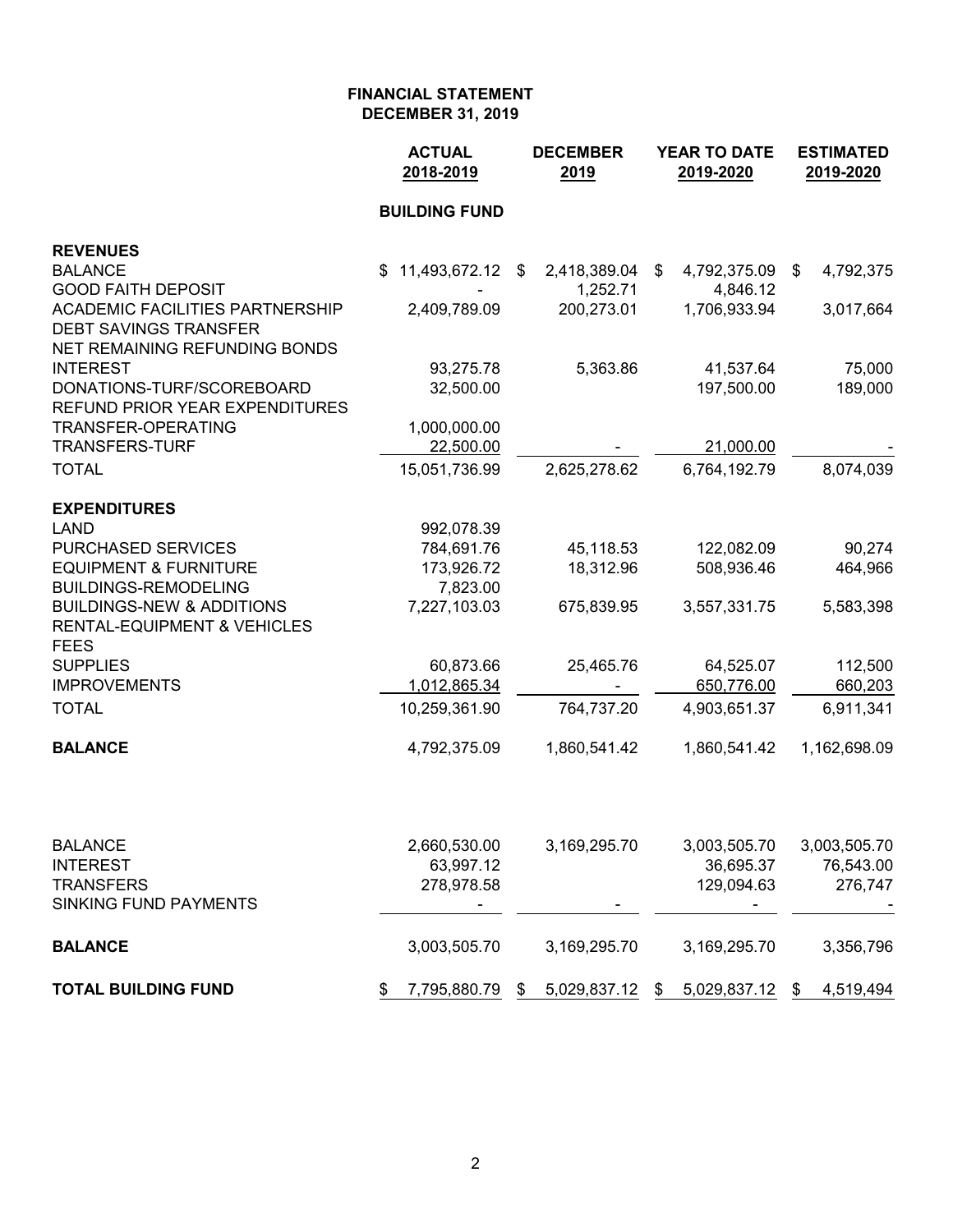|                                                                        | <b>ACTUAL</b><br>2018-2019 | <b>DECEMBER</b><br>2019 | YEAR TO DATE<br>2019-2020 | <b>ESTIMATED</b><br>2019-2020 |  |  |
|------------------------------------------------------------------------|----------------------------|-------------------------|---------------------------|-------------------------------|--|--|
|                                                                        | <b>BUILDING FUND</b>       |                         |                           |                               |  |  |
| <b>REVENUES</b>                                                        |                            |                         |                           |                               |  |  |
| <b>BALANCE</b>                                                         | 11,493,672.12<br>\$        | 2,418,389.04<br>\$      | 4,792,375.09<br>\$        | 4,792,375<br>\$               |  |  |
| <b>GOOD FAITH DEPOSIT</b>                                              |                            | 1,252.71                | 4,846.12                  |                               |  |  |
| <b>ACADEMIC FACILITIES PARTNERSHIP</b><br><b>DEBT SAVINGS TRANSFER</b> | 2,409,789.09               | 200,273.01              | 1,706,933.94              | 3,017,664                     |  |  |
| NET REMAINING REFUNDING BONDS                                          |                            |                         |                           |                               |  |  |
| <b>INTEREST</b>                                                        | 93,275.78                  | 5,363.86                | 41,537.64                 | 75,000                        |  |  |
| DONATIONS-TURF/SCOREBOARD                                              | 32,500.00                  |                         | 197,500.00                | 189,000                       |  |  |
| <b>REFUND PRIOR YEAR EXPENDITURES</b>                                  |                            |                         |                           |                               |  |  |
| <b>TRANSFER-OPERATING</b>                                              | 1,000,000.00               |                         |                           |                               |  |  |
| <b>TRANSFERS-TURF</b>                                                  | 22,500.00                  |                         | 21,000.00                 |                               |  |  |
| <b>TOTAL</b>                                                           | 15,051,736.99              | 2,625,278.62            | 6,764,192.79              | 8,074,039                     |  |  |
| <b>EXPENDITURES</b>                                                    |                            |                         |                           |                               |  |  |
| <b>LAND</b>                                                            | 992,078.39                 |                         |                           |                               |  |  |
| PURCHASED SERVICES                                                     | 784,691.76                 | 45,118.53               | 122,082.09                | 90,274                        |  |  |
| <b>EQUIPMENT &amp; FURNITURE</b>                                       | 173,926.72                 | 18,312.96               | 508,936.46                | 464,966                       |  |  |
| <b>BUILDINGS-REMODELING</b>                                            | 7,823.00                   |                         |                           |                               |  |  |
| <b>BUILDINGS-NEW &amp; ADDITIONS</b>                                   | 7,227,103.03               | 675,839.95              | 3,557,331.75              | 5,583,398                     |  |  |
| <b>RENTAL-EQUIPMENT &amp; VEHICLES</b><br><b>FEES</b>                  |                            |                         |                           |                               |  |  |
| <b>SUPPLIES</b>                                                        | 60,873.66                  | 25,465.76               | 64,525.07                 | 112,500                       |  |  |
| <b>IMPROVEMENTS</b>                                                    | 1,012,865.34               |                         | 650,776.00                | 660,203                       |  |  |
| <b>TOTAL</b>                                                           | 10,259,361.90              | 764,737.20              | 4,903,651.37              | 6,911,341                     |  |  |
| <b>BALANCE</b>                                                         | 4,792,375.09               | 1,860,541.42            | 1,860,541.42              | 1,162,698.09                  |  |  |
|                                                                        |                            |                         |                           |                               |  |  |
| <b>BALANCE</b>                                                         | 2,660,530.00               | 3,169,295.70            | 3,003,505.70              | 3,003,505.70                  |  |  |
| <b>INTEREST</b>                                                        | 63,997.12                  |                         | 36,695.37                 | 76,543.00                     |  |  |
| <b>TRANSFERS</b>                                                       | 278,978.58                 |                         | 129,094.63                | 276,747                       |  |  |
| <b>SINKING FUND PAYMENTS</b>                                           |                            |                         |                           |                               |  |  |
| <b>BALANCE</b>                                                         | 3,003,505.70               | 3,169,295.70            | 3,169,295.70              | 3,356,796                     |  |  |
| <b>TOTAL BUILDING FUND</b>                                             | 7,795,880.79<br>\$         | 5,029,837.12<br>\$      | 5,029,837.12<br>\$        | 4,519,494<br>\$               |  |  |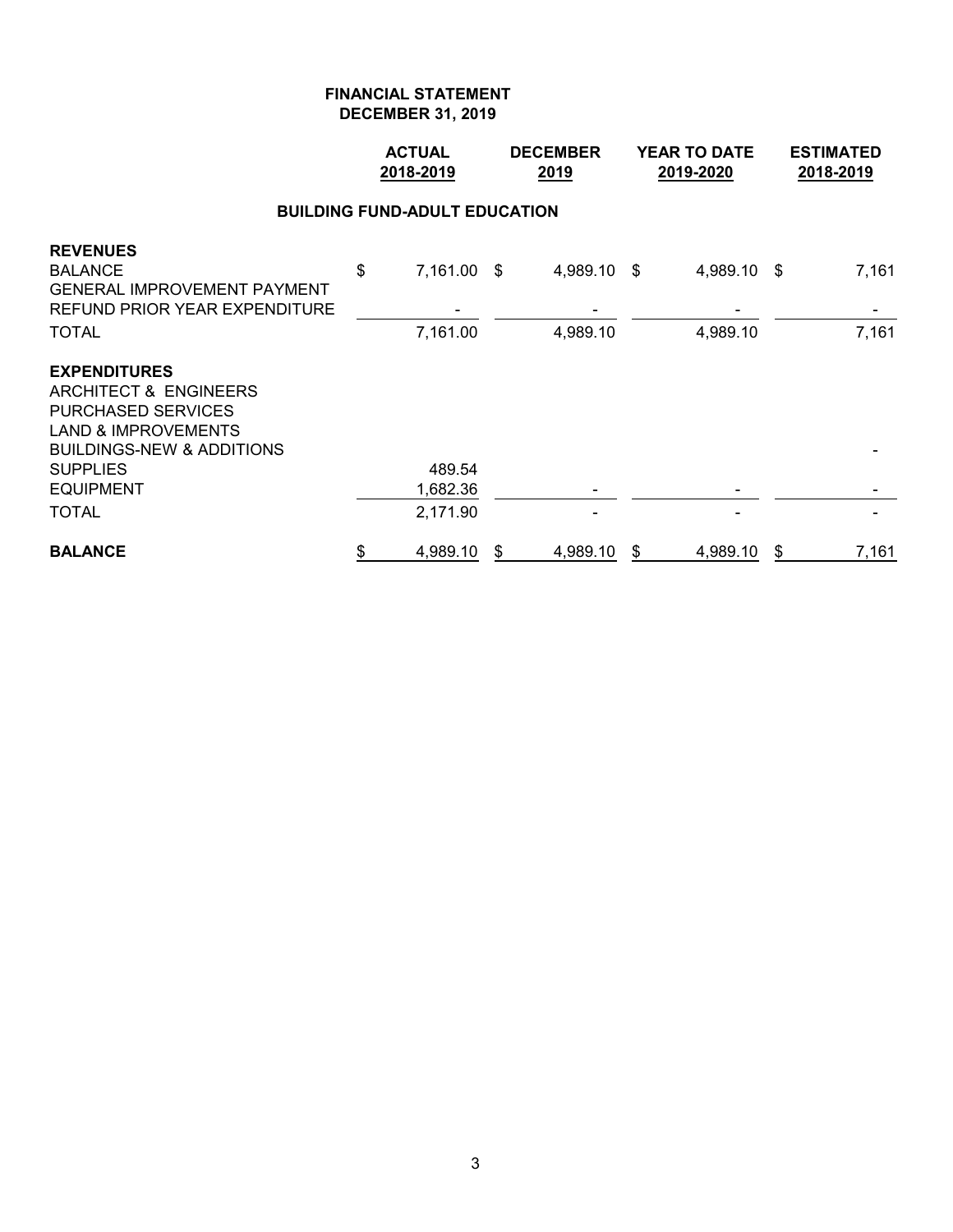|                                                                                                                                                                                            | <b>ACTUAL</b><br>2018-2019 |                         |    | <b>DECEMBER</b><br><u>2019</u> |    | <b>YEAR TO DATE</b><br>2019-2020 | <b>ESTIMATED</b><br>2018-2019 |                |  |  |  |  |
|--------------------------------------------------------------------------------------------------------------------------------------------------------------------------------------------|----------------------------|-------------------------|----|--------------------------------|----|----------------------------------|-------------------------------|----------------|--|--|--|--|
| <b>BUILDING FUND-ADULT EDUCATION</b>                                                                                                                                                       |                            |                         |    |                                |    |                                  |                               |                |  |  |  |  |
| <b>REVENUES</b><br><b>BALANCE</b><br><b>GENERAL IMPROVEMENT PAYMENT</b><br>REFUND PRIOR YEAR EXPENDITURE<br><b>TOTAL</b>                                                                   | \$                         | 7,161.00 \$<br>7,161.00 |    | 4,989.10 \$<br>4,989.10        |    | 4,989.10<br>4,989.10             | - \$                          | 7,161<br>7,161 |  |  |  |  |
| <b>EXPENDITURES</b><br>ARCHITECT & ENGINEERS<br><b>PURCHASED SERVICES</b><br><b>LAND &amp; IMPROVEMENTS</b><br><b>BUILDINGS-NEW &amp; ADDITIONS</b><br><b>SUPPLIES</b><br><b>EQUIPMENT</b> |                            | 489.54<br>1,682.36      |    |                                |    |                                  |                               |                |  |  |  |  |
| <b>TOTAL</b>                                                                                                                                                                               |                            | 2,171.90                |    |                                |    |                                  |                               |                |  |  |  |  |
| <b>BALANCE</b>                                                                                                                                                                             | \$                         | 4,989.10                | \$ | 4,989.10                       | \$ | 4,989.10                         | \$                            | 7,161          |  |  |  |  |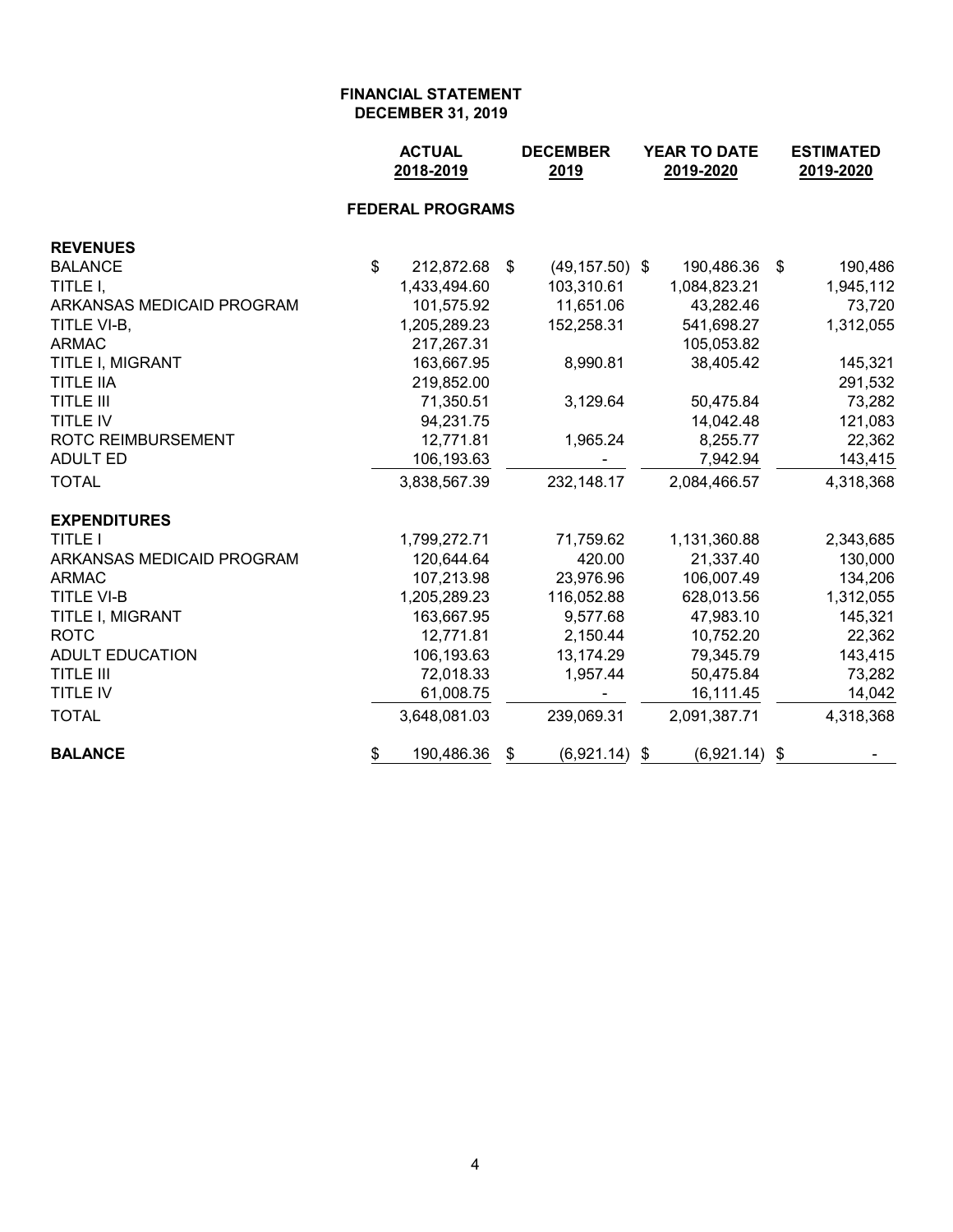|                           |                | <b>ACTUAL</b><br>2018-2019 |      | <b>DECEMBER</b><br>2019 | <b>YEAR TO DATE</b><br>2019-2020 |                 |      | <b>ESTIMATED</b><br>2019-2020 |  |  |
|---------------------------|----------------|----------------------------|------|-------------------------|----------------------------------|-----------------|------|-------------------------------|--|--|
|                           |                | <b>FEDERAL PROGRAMS</b>    |      |                         |                                  |                 |      |                               |  |  |
| <b>REVENUES</b>           |                |                            |      |                         |                                  |                 |      |                               |  |  |
| <b>BALANCE</b>            | $\mathfrak{S}$ | 212,872.68                 | - \$ | $(49, 157.50)$ \$       |                                  | 190,486.36      | - \$ | 190,486                       |  |  |
| TITLE I,                  |                | 1,433,494.60               |      | 103,310.61              |                                  | 1,084,823.21    |      | 1,945,112                     |  |  |
| ARKANSAS MEDICAID PROGRAM |                | 101,575.92                 |      | 11,651.06               |                                  | 43,282.46       |      | 73,720                        |  |  |
| TITLE VI-B,               |                | 1,205,289.23               |      | 152,258.31              |                                  | 541,698.27      |      | 1,312,055                     |  |  |
| <b>ARMAC</b>              |                | 217,267.31                 |      |                         |                                  | 105,053.82      |      |                               |  |  |
| TITLE I, MIGRANT          |                | 163,667.95                 |      | 8,990.81                |                                  | 38,405.42       |      | 145,321                       |  |  |
| <b>TITLE IIA</b>          |                | 219,852.00                 |      |                         |                                  |                 |      | 291,532                       |  |  |
| <b>TITLE III</b>          |                | 71,350.51                  |      | 3,129.64                |                                  | 50,475.84       |      | 73,282                        |  |  |
| <b>TITLE IV</b>           |                | 94,231.75                  |      |                         |                                  | 14,042.48       |      | 121,083                       |  |  |
| <b>ROTC REIMBURSEMENT</b> |                | 12,771.81                  |      | 1,965.24                |                                  | 8,255.77        |      | 22,362                        |  |  |
| <b>ADULT ED</b>           |                | 106,193.63                 |      |                         |                                  | 7,942.94        |      | 143,415                       |  |  |
| <b>TOTAL</b>              |                | 3,838,567.39               |      | 232,148.17              |                                  | 2,084,466.57    |      | 4,318,368                     |  |  |
| <b>EXPENDITURES</b>       |                |                            |      |                         |                                  |                 |      |                               |  |  |
| <b>TITLE I</b>            |                | 1,799,272.71               |      | 71,759.62               |                                  | 1,131,360.88    |      | 2,343,685                     |  |  |
| ARKANSAS MEDICAID PROGRAM |                | 120,644.64                 |      | 420.00                  |                                  | 21,337.40       |      | 130,000                       |  |  |
| <b>ARMAC</b>              |                | 107,213.98                 |      | 23,976.96               |                                  | 106,007.49      |      | 134,206                       |  |  |
| <b>TITLE VI-B</b>         |                | 1,205,289.23               |      | 116,052.88              |                                  | 628,013.56      |      | 1,312,055                     |  |  |
| TITLE I, MIGRANT          |                | 163,667.95                 |      | 9,577.68                |                                  | 47,983.10       |      | 145,321                       |  |  |
| <b>ROTC</b>               |                | 12,771.81                  |      | 2,150.44                |                                  | 10,752.20       |      | 22,362                        |  |  |
| <b>ADULT EDUCATION</b>    |                | 106,193.63                 |      | 13,174.29               |                                  | 79,345.79       |      | 143,415                       |  |  |
| <b>TITLE III</b>          |                | 72,018.33                  |      | 1,957.44                |                                  | 50,475.84       |      | 73,282                        |  |  |
| TITLE IV                  |                | 61,008.75                  |      |                         |                                  | 16,111.45       |      | 14,042                        |  |  |
| <b>TOTAL</b>              |                | 3,648,081.03               |      | 239,069.31              |                                  | 2,091,387.71    |      | 4,318,368                     |  |  |
| <b>BALANCE</b>            | \$             | 190,486.36                 | \$   | $(6,921.14)$ \$         |                                  | $(6,921.14)$ \$ |      |                               |  |  |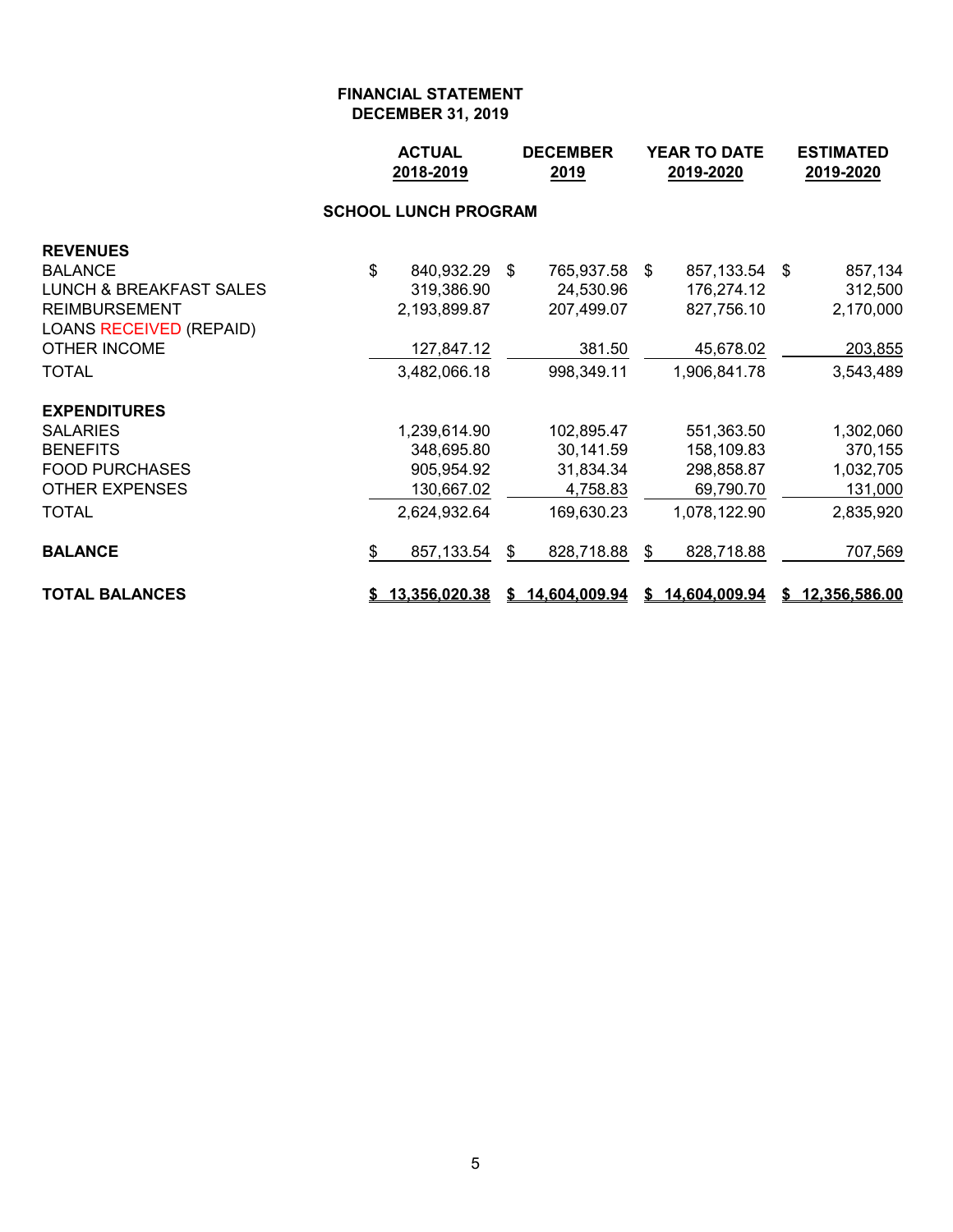|                                    |                             | <b>ACTUAL</b><br>2018-2019<br>2019 |    | <b>DECEMBER</b> | <b>YEAR TO DATE</b><br>2019-2020 |                 |  | <b>ESTIMATED</b><br>2019-2020 |  |  |  |  |
|------------------------------------|-----------------------------|------------------------------------|----|-----------------|----------------------------------|-----------------|--|-------------------------------|--|--|--|--|
|                                    | <b>SCHOOL LUNCH PROGRAM</b> |                                    |    |                 |                                  |                 |  |                               |  |  |  |  |
| <b>REVENUES</b>                    |                             |                                    |    |                 |                                  |                 |  |                               |  |  |  |  |
| <b>BALANCE</b>                     | \$                          | 840,932.29 \$                      |    | 765,937.58 \$   |                                  | 857,133.54 \$   |  | 857,134                       |  |  |  |  |
| <b>LUNCH &amp; BREAKFAST SALES</b> |                             | 319,386.90                         |    | 24,530.96       |                                  | 176,274.12      |  | 312,500                       |  |  |  |  |
| <b>REIMBURSEMENT</b>               |                             | 2,193,899.87                       |    | 207,499.07      |                                  | 827,756.10      |  | 2,170,000                     |  |  |  |  |
| <b>LOANS RECEIVED (REPAID)</b>     |                             |                                    |    |                 |                                  |                 |  |                               |  |  |  |  |
| <b>OTHER INCOME</b>                |                             | 127,847.12                         |    | 381.50          |                                  | 45,678.02       |  | 203,855                       |  |  |  |  |
| <b>TOTAL</b>                       |                             | 3,482,066.18                       |    | 998,349.11      |                                  | 1,906,841.78    |  | 3,543,489                     |  |  |  |  |
| <b>EXPENDITURES</b>                |                             |                                    |    |                 |                                  |                 |  |                               |  |  |  |  |
| <b>SALARIES</b>                    |                             | 1,239,614.90                       |    | 102,895.47      |                                  | 551,363.50      |  | 1,302,060                     |  |  |  |  |
| <b>BENEFITS</b>                    |                             | 348,695.80                         |    | 30,141.59       |                                  | 158,109.83      |  | 370,155                       |  |  |  |  |
| <b>FOOD PURCHASES</b>              |                             | 905,954.92                         |    | 31,834.34       |                                  | 298,858.87      |  | 1,032,705                     |  |  |  |  |
| <b>OTHER EXPENSES</b>              |                             | 130,667.02                         |    | 4,758.83        |                                  | 69,790.70       |  | 131,000                       |  |  |  |  |
| <b>TOTAL</b>                       |                             | 2,624,932.64                       |    | 169,630.23      |                                  | 1,078,122.90    |  | 2,835,920                     |  |  |  |  |
| <b>BALANCE</b>                     | \$                          | 857,133.54                         | S. | 828,718.88      | \$                               | 828,718.88      |  | 707,569                       |  |  |  |  |
| <b>TOTAL BALANCES</b>              |                             | \$13,356,020.38                    |    | \$14,604,009.94 |                                  | \$14,604,009.94 |  | \$12,356,586.00               |  |  |  |  |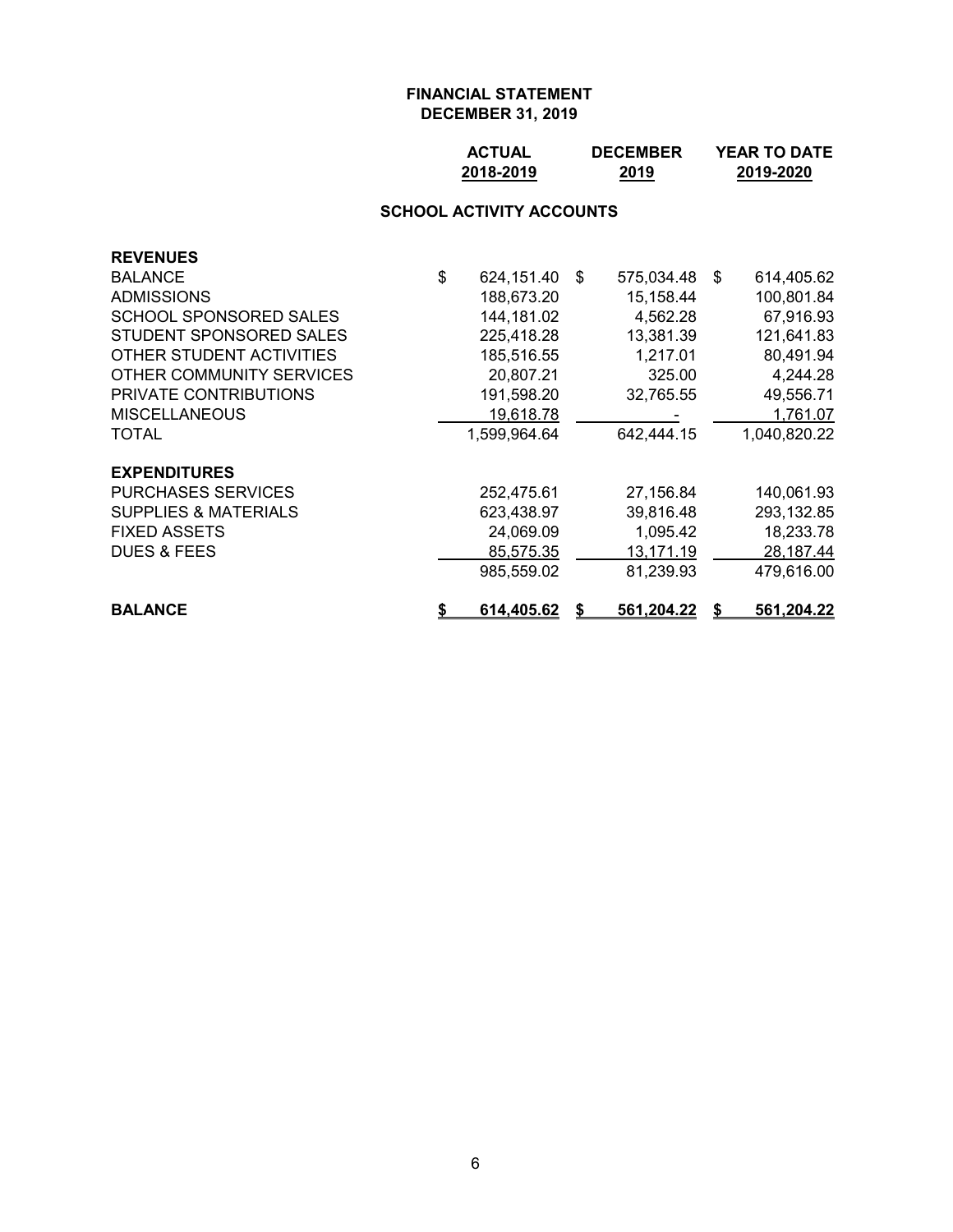| <b>ACTUAL</b> | <b>DECEMBER</b> | <b>YEAR TO DATE</b> |
|---------------|-----------------|---------------------|
| 2018-2019     | 2019            | 2019-2020           |

# **SCHOOL ACTIVITY ACCOUNTS**

| <b>REVENUES</b>                 |                         |    |            |    |              |
|---------------------------------|-------------------------|----|------------|----|--------------|
| <b>BALANCE</b>                  | \$<br>624,151.40        | \$ | 575,034.48 | S. | 614,405.62   |
| <b>ADMISSIONS</b>               | 188,673.20              |    | 15,158.44  |    | 100,801.84   |
| <b>SCHOOL SPONSORED SALES</b>   | 144,181.02              |    | 4,562.28   |    | 67,916.93    |
| STUDENT SPONSORED SALES         | 225,418.28              |    | 13,381.39  |    | 121,641.83   |
| OTHER STUDENT ACTIVITIES        | 185,516.55              |    | 1,217.01   |    | 80,491.94    |
| OTHER COMMUNITY SERVICES        | 20,807.21               |    | 325.00     |    | 4,244.28     |
| PRIVATE CONTRIBUTIONS           | 191,598.20              |    | 32,765.55  |    | 49,556.71    |
| <b>MISCELLANEOUS</b>            | 19,618.78               |    |            |    | 1,761.07     |
| TOTAL                           | 1,599,964.64            |    | 642,444.15 |    | 1,040,820.22 |
| <b>EXPENDITURES</b>             |                         |    |            |    |              |
| <b>PURCHASES SERVICES</b>       | 252,475.61              |    | 27,156.84  |    | 140,061.93   |
| <b>SUPPLIES &amp; MATERIALS</b> | 623,438.97              |    | 39,816.48  |    | 293,132.85   |
| <b>FIXED ASSETS</b>             | 24,069.09               |    | 1,095.42   |    | 18,233.78    |
| <b>DUES &amp; FEES</b>          | 85,575.35               |    | 13,171.19  |    | 28,187.44    |
|                                 | 985,559.02              |    | 81,239.93  |    | 479,616.00   |
| <b>BALANCE</b>                  | \$<br><u>614,405.62</u> | S  | 561,204.22 |    | 561,204.22   |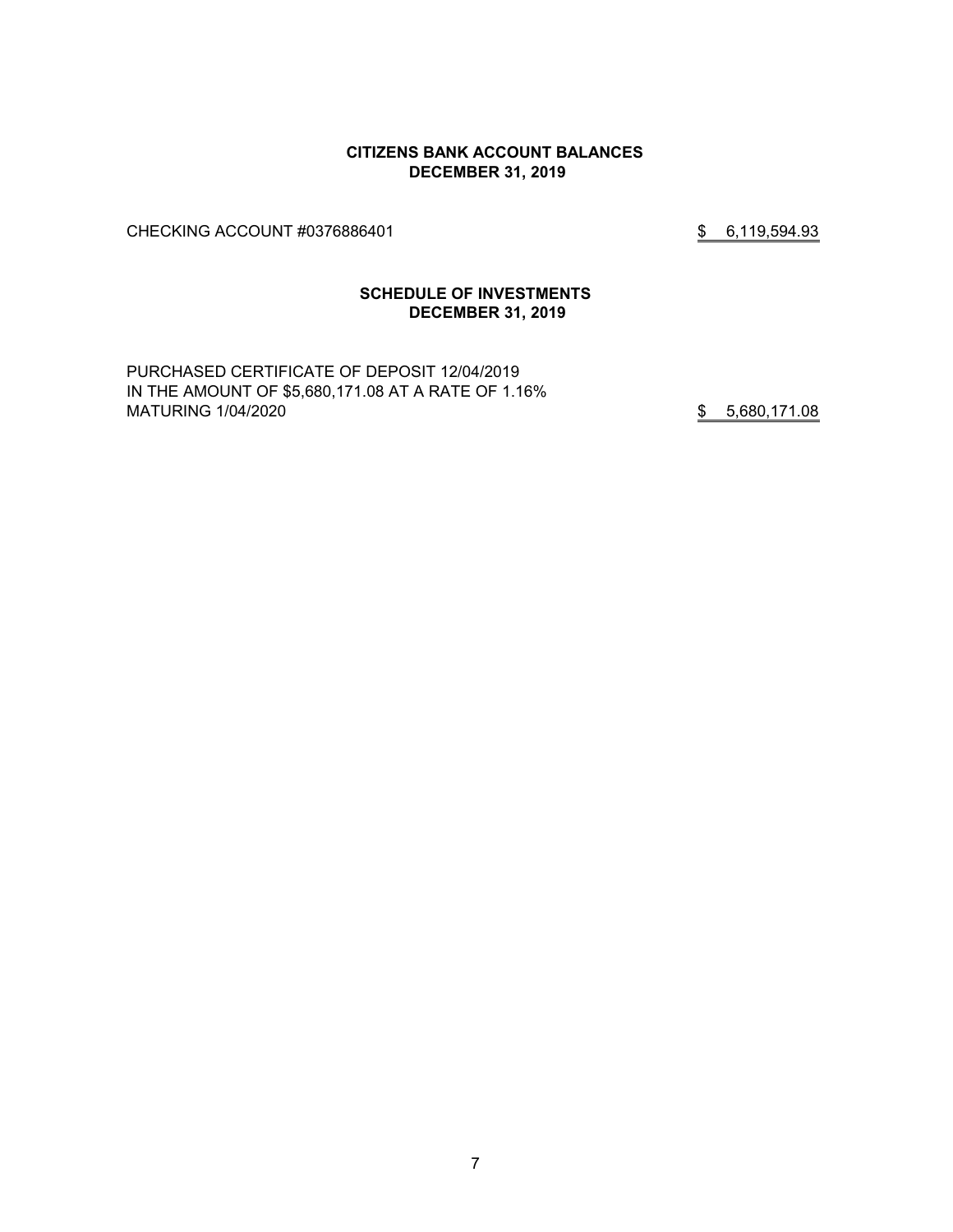#### **CITIZENS BANK ACCOUNT BALANCES DECEMBER 31, 2019**

CHECKING ACCOUNT #0376886401 \$ 6,119,594.93

#### **SCHEDULE OF INVESTMENTS DECEMBER 31, 2019**

PURCHASED CERTIFICATE OF DEPOSIT 12/04/2019 IN THE AMOUNT OF \$5,680,171.08 AT A RATE OF 1.16% MATURING 1/04/2020 **\$** 5,680,171.08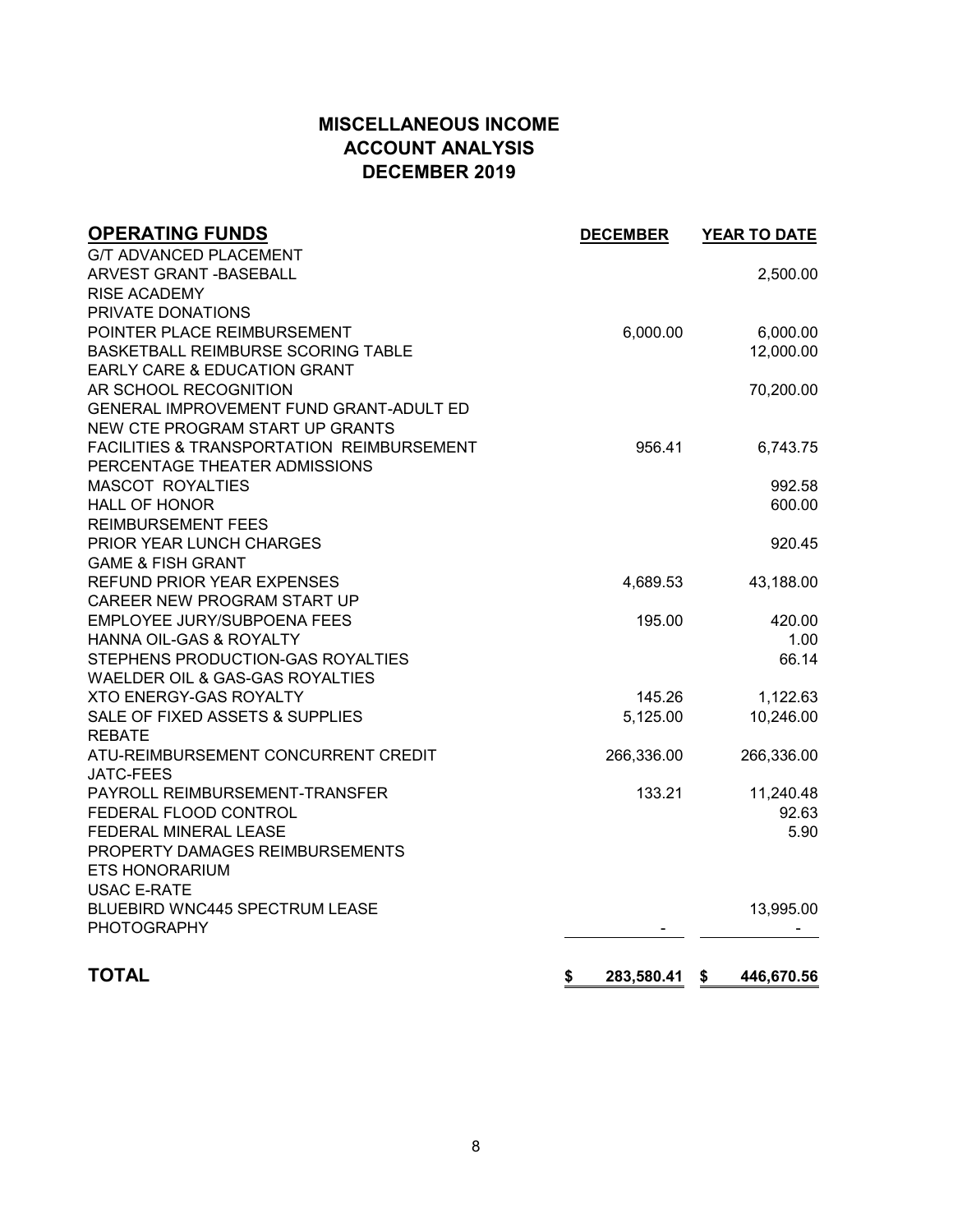# **MISCELLANEOUS INCOME ACCOUNT ANALYSIS DECEMBER 2019**

| <b>G/T ADVANCED PLACEMENT</b><br>ARVEST GRANT - BASEBALL        | 2,500.00 |
|-----------------------------------------------------------------|----------|
|                                                                 |          |
|                                                                 |          |
| <b>RISE ACADEMY</b>                                             |          |
| PRIVATE DONATIONS                                               |          |
| POINTER PLACE REIMBURSEMENT<br>6,000.00                         | 6,000.00 |
| BASKETBALL REIMBURSE SCORING TABLE<br>12,000.00                 |          |
| <b>EARLY CARE &amp; EDUCATION GRANT</b>                         |          |
| AR SCHOOL RECOGNITION<br>70,200.00                              |          |
| GENERAL IMPROVEMENT FUND GRANT-ADULT ED                         |          |
| NEW CTE PROGRAM START UP GRANTS                                 |          |
| FACILITIES & TRANSPORTATION REIMBURSEMENT<br>956.41             | 6,743.75 |
| PERCENTAGE THEATER ADMISSIONS                                   |          |
| <b>MASCOT ROYALTIES</b>                                         | 992.58   |
| <b>HALL OF HONOR</b>                                            | 600.00   |
| <b>REIMBURSEMENT FEES</b>                                       |          |
| PRIOR YEAR LUNCH CHARGES                                        | 920.45   |
| <b>GAME &amp; FISH GRANT</b>                                    |          |
| REFUND PRIOR YEAR EXPENSES<br>4,689.53<br>43,188.00             |          |
| CAREER NEW PROGRAM START UP                                     |          |
| EMPLOYEE JURY/SUBPOENA FEES<br>195.00                           | 420.00   |
| HANNA OIL-GAS & ROYALTY                                         | 1.00     |
| STEPHENS PRODUCTION-GAS ROYALTIES                               | 66.14    |
| WAELDER OIL & GAS-GAS ROYALTIES                                 |          |
| <b>XTO ENERGY-GAS ROYALTY</b><br>145.26                         | 1,122.63 |
| SALE OF FIXED ASSETS & SUPPLIES<br>10,246.00<br>5,125.00        |          |
| <b>REBATE</b>                                                   |          |
| ATU-REIMBURSEMENT CONCURRENT CREDIT<br>266,336.00<br>266,336.00 |          |
| <b>JATC-FEES</b>                                                |          |
| PAYROLL REIMBURSEMENT-TRANSFER<br>133.21<br>11,240.48           |          |
| FEDERAL FLOOD CONTROL                                           | 92.63    |
| FEDERAL MINERAL LEASE                                           | 5.90     |
| PROPERTY DAMAGES REIMBURSEMENTS                                 |          |
| <b>ETS HONORARIUM</b>                                           |          |
| <b>USAC E-RATE</b>                                              |          |
| <b>BLUEBIRD WNC445 SPECTRUM LEASE</b><br>13,995.00              |          |
| <b>PHOTOGRAPHY</b>                                              |          |
|                                                                 |          |
| <b>TOTAL</b><br>\$<br>283,580.41<br>446,670.56<br>\$            |          |